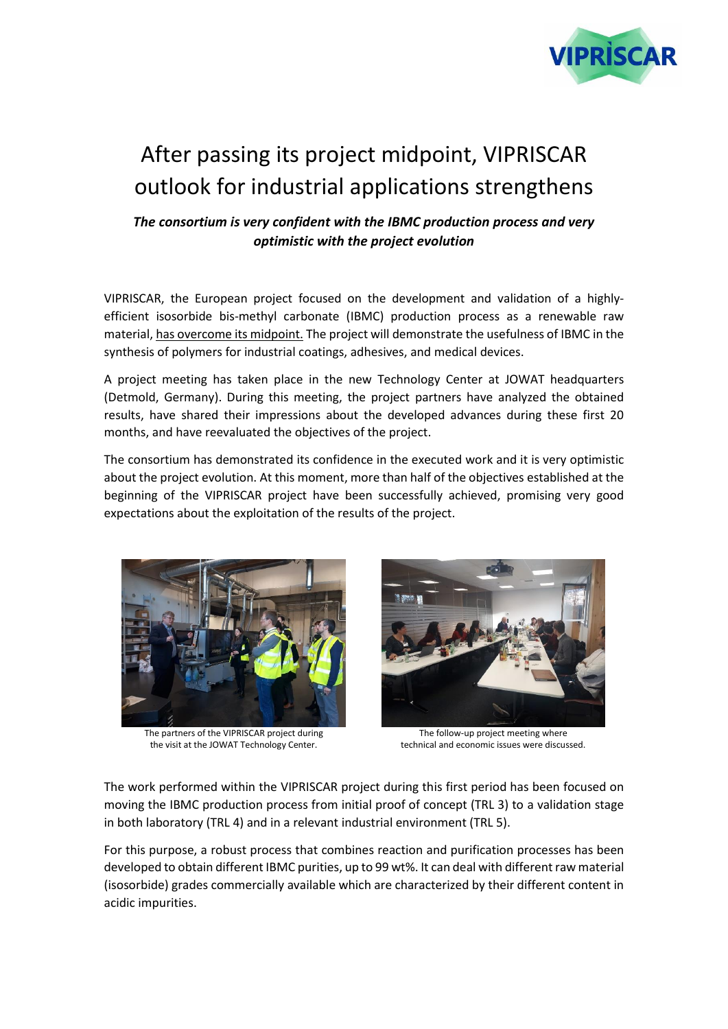

## After passing its project midpoint, VIPRISCAR outlook for industrial applications strengthens

*The consortium is very confident with the IBMC production process and very optimistic with the project evolution*

VIPRISCAR, the European project focused on the development and validation of a highlyefficient isosorbide bis-methyl carbonate (IBMC) production process as a renewable raw material, has overcome its midpoint. The project will demonstrate the usefulness of IBMC in the synthesis of polymers for industrial coatings, adhesives, and medical devices.

A project meeting has taken place in the new Technology Center at JOWAT headquarters (Detmold, Germany). During this meeting, the project partners have analyzed the obtained results, have shared their impressions about the developed advances during these first 20 months, and have reevaluated the objectives of the project.

The consortium has demonstrated its confidence in the executed work and it is very optimistic about the project evolution. At this moment, more than half of the objectives established at the beginning of the VIPRISCAR project have been successfully achieved, promising very good expectations about the exploitation of the results of the project.



The partners of the VIPRISCAR project during the visit at the JOWAT Technology Center.



The follow-up project meeting where technical and economic issues were discussed.

The work performed within the VIPRISCAR project during this first period has been focused on moving the IBMC production process from initial proof of concept (TRL 3) to a validation stage in both laboratory (TRL 4) and in a relevant industrial environment (TRL 5).

For this purpose, a robust process that combines reaction and purification processes has been developed to obtain different IBMC purities, up to 99 wt%. It can deal with different raw material (isosorbide) grades commercially available which are characterized by their different content in acidic impurities.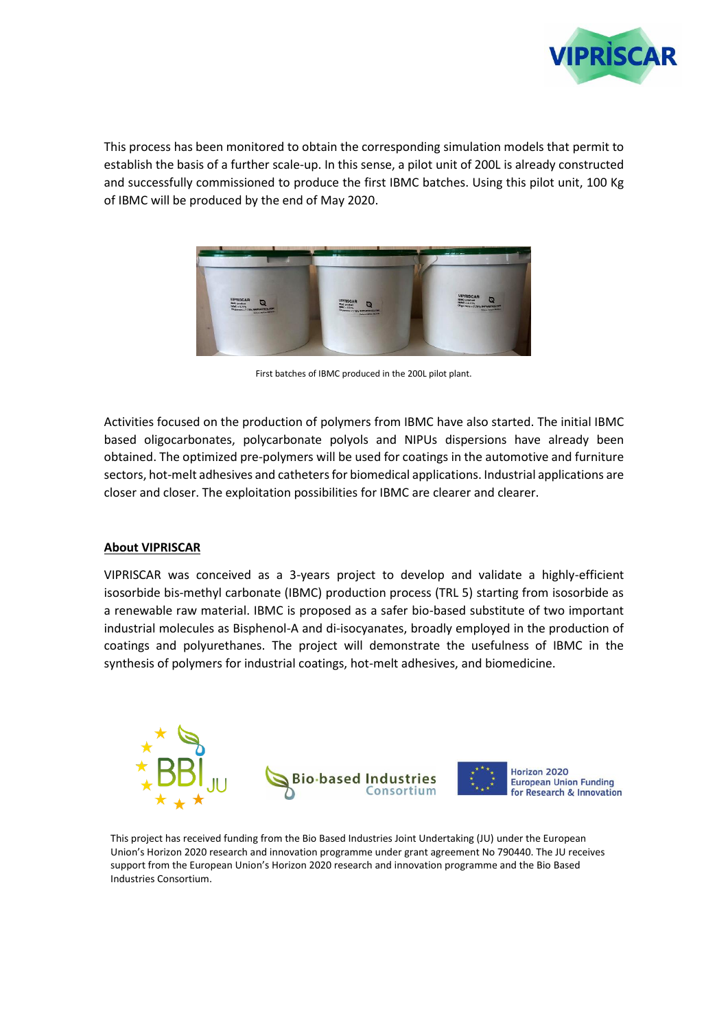

This process has been monitored to obtain the corresponding simulation models that permit to establish the basis of a further scale-up. In this sense, a pilot unit of 200L is already constructed and successfully commissioned to produce the first IBMC batches. Using this pilot unit, 100 Kg of IBMC will be produced by the end of May 2020.



First batches of IBMC produced in the 200L pilot plant.

Activities focused on the production of polymers from IBMC have also started. The initial IBMC based oligocarbonates, polycarbonate polyols and NIPUs dispersions have already been obtained. The optimized pre-polymers will be used for coatings in the automotive and furniture sectors, hot-melt adhesives and catheters for biomedical applications. Industrial applications are closer and closer. The exploitation possibilities for IBMC are clearer and clearer.

## **About VIPRISCAR**

VIPRISCAR was conceived as a 3-years project to develop and validate a highly-efficient isosorbide bis-methyl carbonate (IBMC) production process (TRL 5) starting from isosorbide as a renewable raw material. IBMC is proposed as a safer bio-based substitute of two important industrial molecules as Bisphenol-A and di-isocyanates, broadly employed in the production of coatings and polyurethanes. The project will demonstrate the usefulness of IBMC in the synthesis of polymers for industrial coatings, hot-melt adhesives, and biomedicine.



Horizon 2020 **European Union Funding** for Research & Innovation

This project has received funding from the Bio Based Industries Joint Undertaking (JU) under the European Union's Horizon 2020 research and innovation programme under grant agreement No 790440. The JU receives support from the European Union's Horizon 2020 research and innovation programme and the Bio Based Industries Consortium.